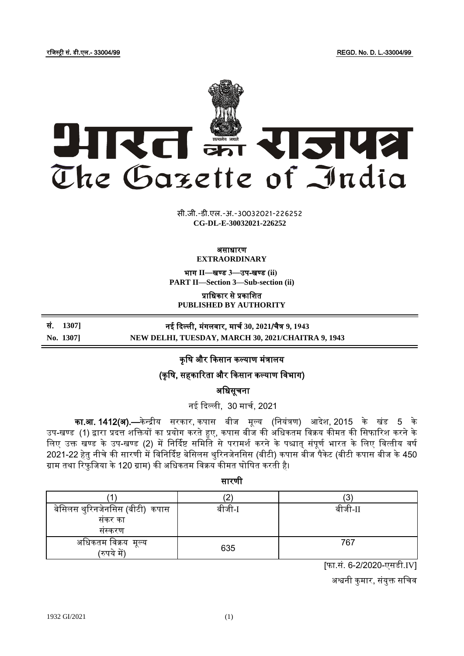रजिस्ट्री सं. डी.एल.- 33004/99 REGD. No. D. L.-33004/99



x<sub>xxx</sub> by by by by by by by by and all the second that the second the second the second that the second the second the second the second the second the second the second the second the second the second the second the seco **xxx**GIDE**xxx CG-DL-E-30032021-226252**सी.जी.-डी.एल.-अ.-30032021-226252

#### असाधारण **EXTRAORDINARY**

भाग **II**—खण् ड **3**—उप-खण् ड **(ii) PART II—Section 3—Sub-section (ii)**

प्राजधकार से प्रकाजित

**PUBLISHED BY AUTHORITY**

सं. **1307]** नई किल्ली, मंगलिार, माचच **30, 2021**/चैत्र **9, 1943**

**No. 1307] NEW DELHI, TUESDAY, MARCH 30, 2021/CHAITRA 9, 1943**

कृषि और किसान कल्याण मंत्रालय

(कृ जि, सहकाररता और ककसान कल्याण जिभाग)

अजधसूचना

नई किल्ली, 30 माचच, 2021

का.<mark>आ. 1412(अ).—</mark>केन्द्रीय सरकार, कपास बीज मूल्य (नियंत्रण) आदेश, 2015 के खंड 5 के उप-खण्ड (1) द्वारा प्रदत्त शक्तियों का प्रयोग करते हुए, कपास बीज की अधिकतम विक्रय कीमत की सिफारिश करने के लिए उक्त खण्ड के उप-खण्ड (2) में निर्दिष्ट समिति से परामर्श करने के पश्चात् संपूर्ण भारत के लिए वित्तीय वर्ष 2021-22 हेतु नीचे की सारणी में विनिर्दिष्ट बेसिलस थुरिनजेनसिस (बीटी) कपास बीज पैकेट (बीटी कपास बीज के 450 ग्राम तथा रिफजिया के 120 ग्राम) की अधिकतम विक्रय कीमत घोषित करती है।

सारणी

| बेसिलस थुरिनजेनसिस (बीटी)  कपास | बीजी-I | बीजी-II |
|---------------------------------|--------|---------|
| संकर का                         |        |         |
| सस्करण                          |        |         |
| अधिकतम विक्रय  मूल्य            | 635    | 767     |
| (रुपये में                      |        |         |

[फा.सं. 6-2/2020-एसडी.IV]

अश्वनी कुमार, संयुक्त सचिव